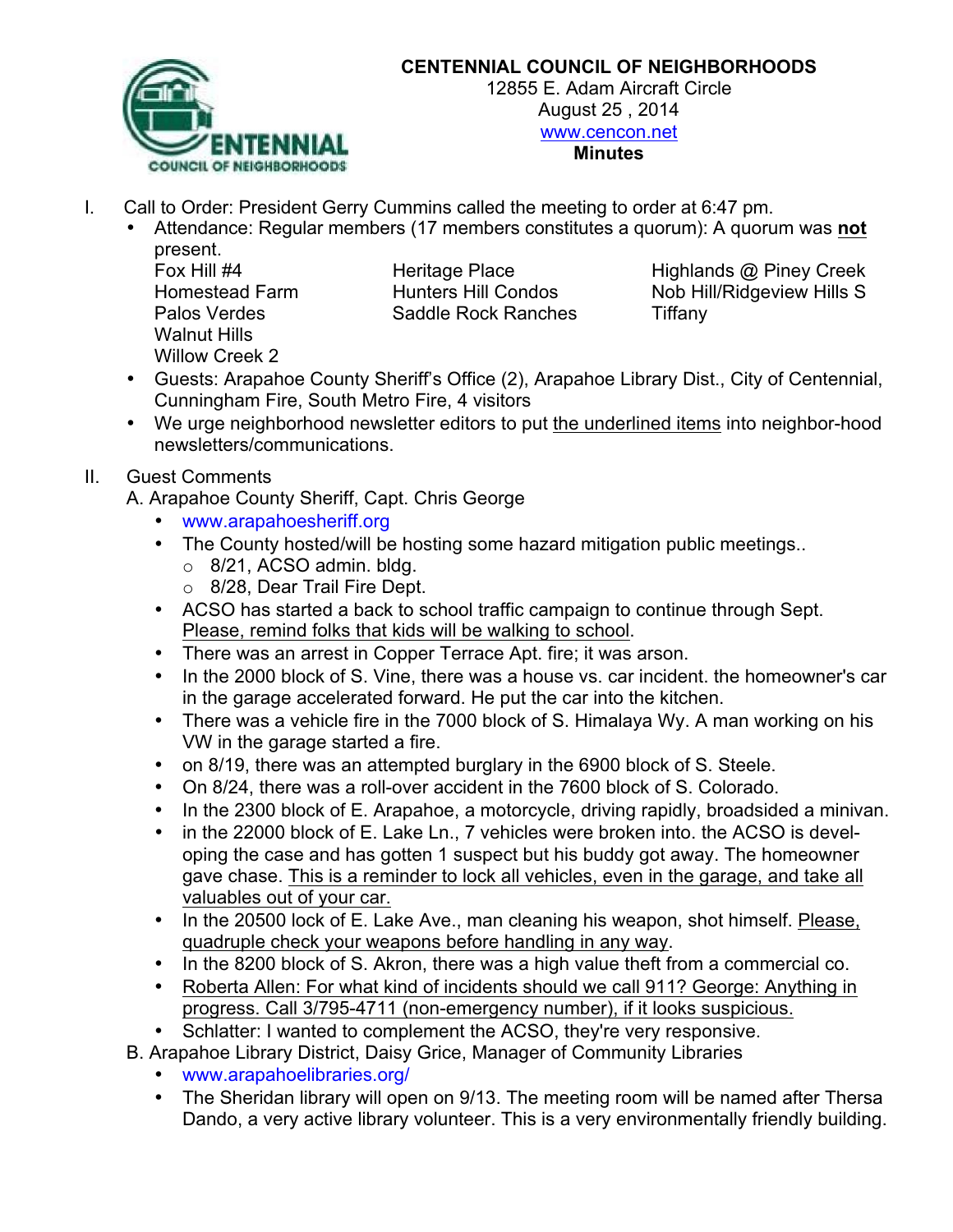

## **CENTENNIAL COUNCIL OF NEIGHBORHOODS**

12855 E. Adam Aircraft Circle August 25 , 2014 www.cencon.net **Minutes**

- I. Call to Order: President Gerry Cummins called the meeting to order at 6:47 pm.
	- Attendance: Regular members (17 members constitutes a quorum): A quorum was **not** present.

Walnut Hills Willow Creek 2

Palos Verdes **Saddle Rock Ranches** Tiffany

Fox Hill #4 **Heritage Place** Highlands @ Piney Creek Homestead Farm **Hunters Hill Condos** Nob Hill/Ridgeview Hills S

- Guests: Arapahoe County Sheriff's Office (2), Arapahoe Library Dist., City of Centennial, Cunningham Fire, South Metro Fire, 4 visitors
- We urge neighborhood newsletter editors to put the underlined items into neighbor-hood newsletters/communications.

## II. Guest Comments

A. Arapahoe County Sheriff, Capt. Chris George

- www.arapahoesheriff.org
- The County hosted/will be hosting some hazard mitigation public meetings..
	- o 8/21, ACSO admin. bldg.
	- o 8/28, Dear Trail Fire Dept.
- ACSO has started a back to school traffic campaign to continue through Sept. Please, remind folks that kids will be walking to school.
- There was an arrest in Copper Terrace Apt. fire; it was arson.
- In the 2000 block of S. Vine, there was a house vs. car incident. the homeowner's car in the garage accelerated forward. He put the car into the kitchen.
- There was a vehicle fire in the 7000 block of S. Himalaya Wy. A man working on his VW in the garage started a fire.
- on 8/19, there was an attempted burglary in the 6900 block of S. Steele.
- On 8/24, there was a roll-over accident in the 7600 block of S. Colorado.
- In the 2300 block of E. Arapahoe, a motorcycle, driving rapidly, broadsided a minivan.
- in the 22000 block of E. Lake Ln., 7 vehicles were broken into. the ACSO is developing the case and has gotten 1 suspect but his buddy got away. The homeowner gave chase. This is a reminder to lock all vehicles, even in the garage, and take all valuables out of your car.
- In the 20500 lock of E. Lake Ave., man cleaning his weapon, shot himself. Please, quadruple check your weapons before handling in any way.
- In the 8200 block of S. Akron, there was a high value theft from a commercial co.
- Roberta Allen: For what kind of incidents should we call 911? George: Anything in progress. Call 3/795-4711 (non-emergency number), if it looks suspicious.
- Schlatter: I wanted to complement the ACSO, they're very responsive.

B. Arapahoe Library District, Daisy Grice, Manager of Community Libraries

- www.arapahoelibraries.org/
- The Sheridan library will open on 9/13. The meeting room will be named after Thersa Dando, a very active library volunteer. This is a very environmentally friendly building.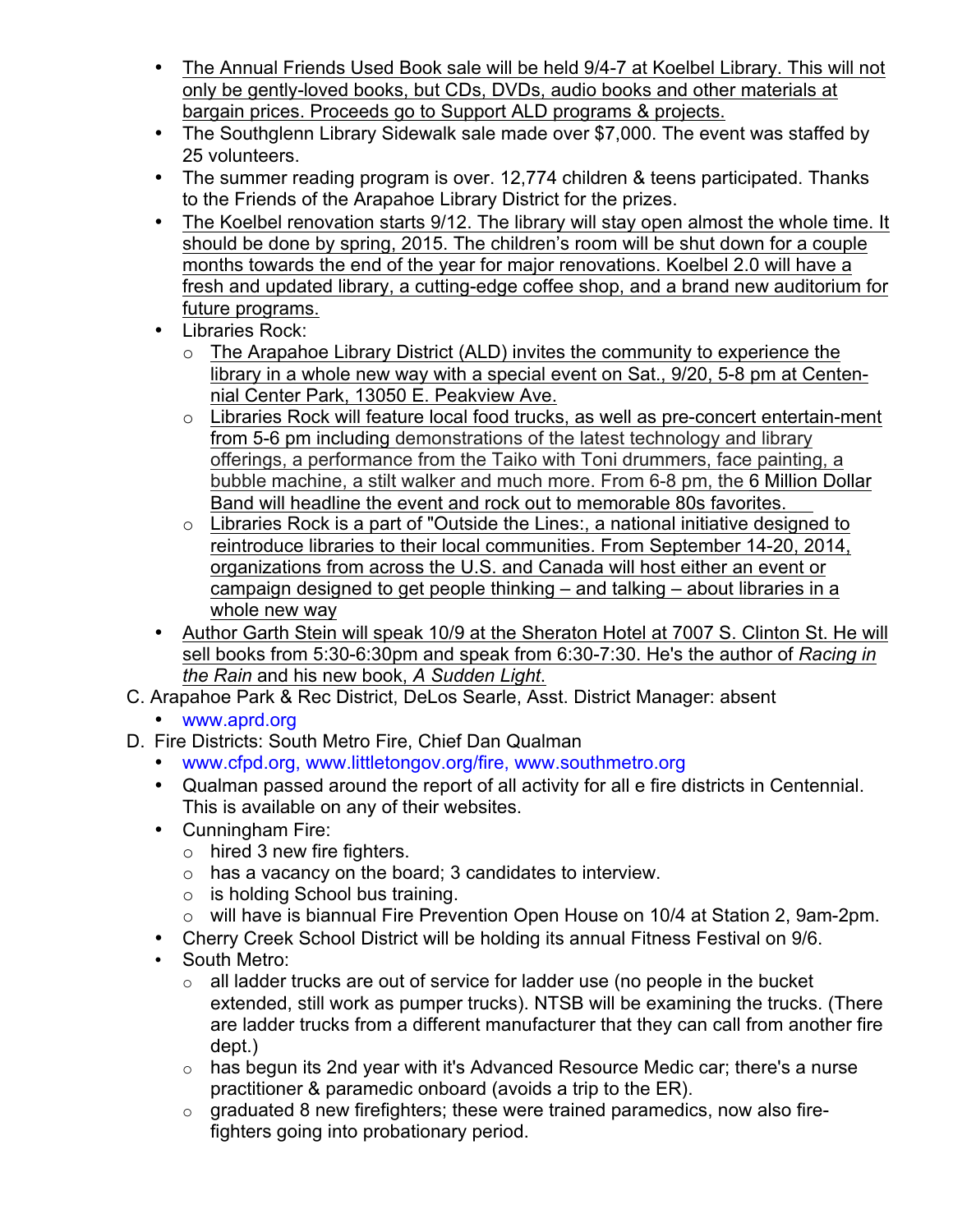- The Annual Friends Used Book sale will be held 9/4-7 at Koelbel Library. This will not only be gently-loved books, but CDs, DVDs, audio books and other materials at bargain prices. Proceeds go to Support ALD programs & projects.
- The Southglenn Library Sidewalk sale made over \$7,000. The event was staffed by 25 volunteers.
- The summer reading program is over. 12,774 children & teens participated. Thanks to the Friends of the Arapahoe Library District for the prizes.
- The Koelbel renovation starts 9/12. The library will stay open almost the whole time. It should be done by spring, 2015. The children's room will be shut down for a couple months towards the end of the year for major renovations. Koelbel 2.0 will have a fresh and updated library, a cutting-edge coffee shop, and a brand new auditorium for future programs.
- Libraries Rock:
	- o The Arapahoe Library District (ALD) invites the community to experience the library in a whole new way with a special event on Sat., 9/20, 5-8 pm at Centennial Center Park, 13050 E. Peakview Ave.
	- o Libraries Rock will feature local food trucks, as well as pre-concert entertain-ment from 5-6 pm including demonstrations of the latest technology and library offerings, a performance from the Taiko with Toni drummers, face painting, a bubble machine, a stilt walker and much more. From 6-8 pm, the 6 Million Dollar Band will headline the event and rock out to memorable 80s favorites.
	- o Libraries Rock is a part of "Outside the Lines:, a national initiative designed to reintroduce libraries to their local communities. From September 14-20, 2014, organizations from across the U.S. and Canada will host either an event or campaign designed to get people thinking – and talking – about libraries in a whole new way
- Author Garth Stein will speak 10/9 at the Sheraton Hotel at 7007 S. Clinton St. He will sell books from 5:30-6:30pm and speak from 6:30-7:30. He's the author of *Racing in the Rain* and his new book, *A Sudden Light*.
- C. Arapahoe Park & Rec District, DeLos Searle, Asst. District Manager: absent
	- www.aprd.org
- D. Fire Districts: South Metro Fire, Chief Dan Qualman
	- www.cfpd.org, www.littletongov.org/fire, www.southmetro.org
	- Qualman passed around the report of all activity for all e fire districts in Centennial. This is available on any of their websites.
	- Cunningham Fire:
		- o hired 3 new fire fighters.
		- o has a vacancy on the board; 3 candidates to interview.
		- o is holding School bus training.
		- o will have is biannual Fire Prevention Open House on 10/4 at Station 2, 9am-2pm.
	- Cherry Creek School District will be holding its annual Fitness Festival on 9/6.
	- South Metro:
		- $\circ$  all ladder trucks are out of service for ladder use (no people in the bucket extended, still work as pumper trucks). NTSB will be examining the trucks. (There are ladder trucks from a different manufacturer that they can call from another fire dept.)
		- $\circ$  has begun its 2nd year with it's Advanced Resource Medic car; there's a nurse practitioner & paramedic onboard (avoids a trip to the ER).
		- $\circ$  graduated 8 new firefighters; these were trained paramedics, now also firefighters going into probationary period.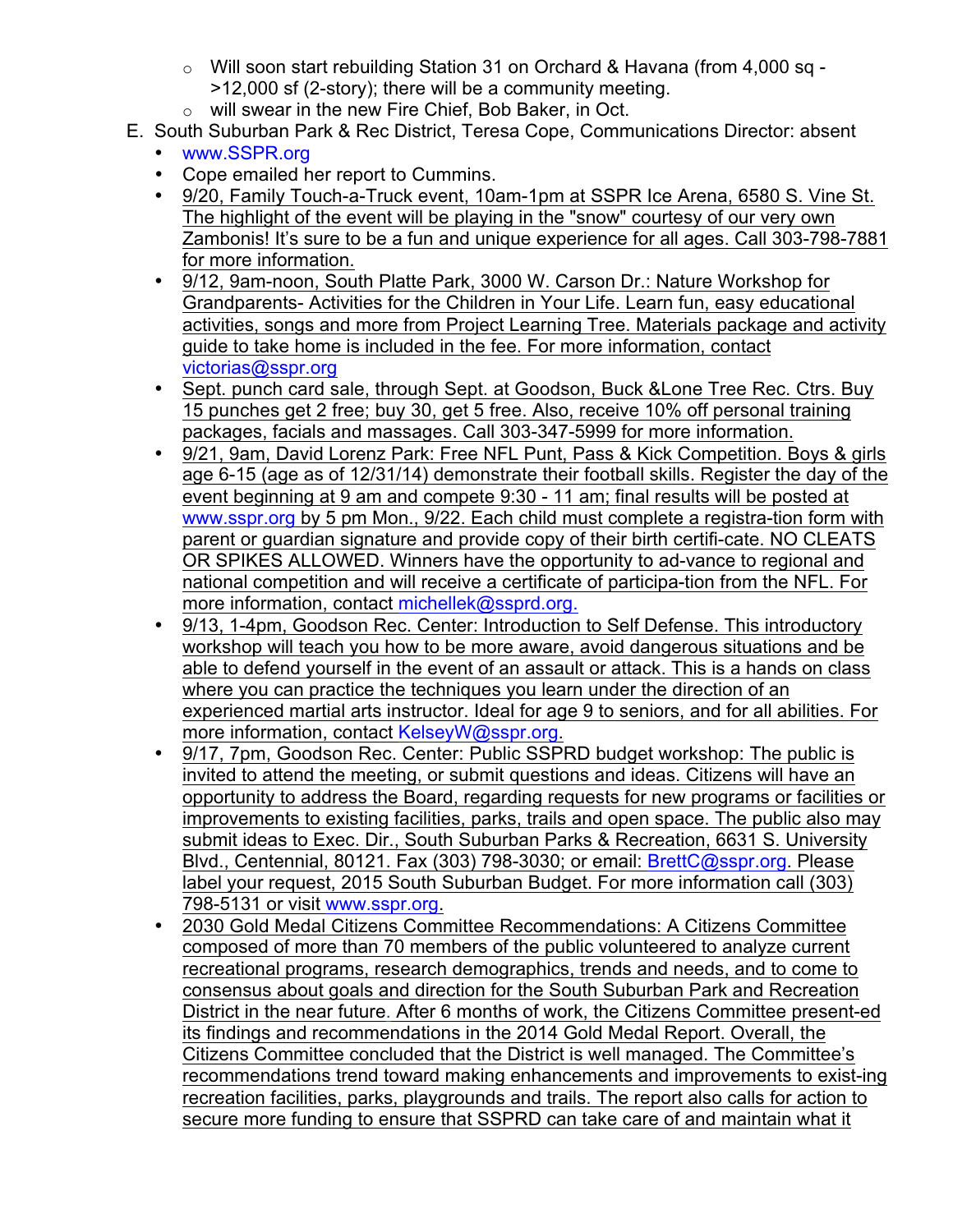- o Will soon start rebuilding Station 31 on Orchard & Havana (from 4,000 sq >12,000 sf (2-story); there will be a community meeting.
- o will swear in the new Fire Chief, Bob Baker, in Oct.
- E. South Suburban Park & Rec District, Teresa Cope, Communications Director: absent
	- www.SSPR.org
	- Cope emailed her report to Cummins.
	- 9/20, Family Touch-a-Truck event, 10am-1pm at SSPR Ice Arena, 6580 S. Vine St. The highlight of the event will be playing in the "snow" courtesy of our very own Zambonis! It's sure to be a fun and unique experience for all ages. Call 303-798-7881 for more information.
	- 9/12, 9am-noon, South Platte Park, 3000 W. Carson Dr.: Nature Workshop for Grandparents- Activities for the Children in Your Life. Learn fun, easy educational activities, songs and more from Project Learning Tree. Materials package and activity guide to take home is included in the fee. For more information, contact victorias@sspr.org
	- Sept. punch card sale, through Sept. at Goodson, Buck & Lone Tree Rec. Ctrs. Buy 15 punches get 2 free; buy 30, get 5 free. Also, receive 10% off personal training packages, facials and massages. Call 303-347-5999 for more information.
	- 9/21, 9am, David Lorenz Park: Free NFL Punt, Pass & Kick Competition. Bovs & airls age 6-15 (age as of 12/31/14) demonstrate their football skills. Register the day of the event beginning at 9 am and compete 9:30 - 11 am; final results will be posted at www.sspr.org by 5 pm Mon., 9/22. Each child must complete a registra-tion form with parent or guardian signature and provide copy of their birth certifi-cate. NO CLEATS OR SPIKES ALLOWED. Winners have the opportunity to ad-vance to regional and national competition and will receive a certificate of participa-tion from the NFL. For more information, contact michellek@ssprd.org.
	- 9/13, 1-4pm, Goodson Rec. Center: Introduction to Self Defense. This introductory workshop will teach you how to be more aware, avoid dangerous situations and be able to defend yourself in the event of an assault or attack. This is a hands on class where you can practice the techniques you learn under the direction of an experienced martial arts instructor. Ideal for age 9 to seniors, and for all abilities. For more information, contact KelseyW@sspr.org.
	- 9/17, 7pm, Goodson Rec. Center: Public SSPRD budget workshop: The public is invited to attend the meeting, or submit questions and ideas. Citizens will have an opportunity to address the Board, regarding requests for new programs or facilities or improvements to existing facilities, parks, trails and open space. The public also may submit ideas to Exec. Dir., South Suburban Parks & Recreation, 6631 S. University Blvd., Centennial, 80121. Fax (303) 798-3030; or email: BrettC@sspr.org. Please label your request, 2015 South Suburban Budget. For more information call (303) 798-5131 or visit www.sspr.org.
	- 2030 Gold Medal Citizens Committee Recommendations: A Citizens Committee composed of more than 70 members of the public volunteered to analyze current recreational programs, research demographics, trends and needs, and to come to consensus about goals and direction for the South Suburban Park and Recreation District in the near future. After 6 months of work, the Citizens Committee present-ed its findings and recommendations in the 2014 Gold Medal Report. Overall, the Citizens Committee concluded that the District is well managed. The Committee's recommendations trend toward making enhancements and improvements to exist-ing recreation facilities, parks, playgrounds and trails. The report also calls for action to secure more funding to ensure that SSPRD can take care of and maintain what it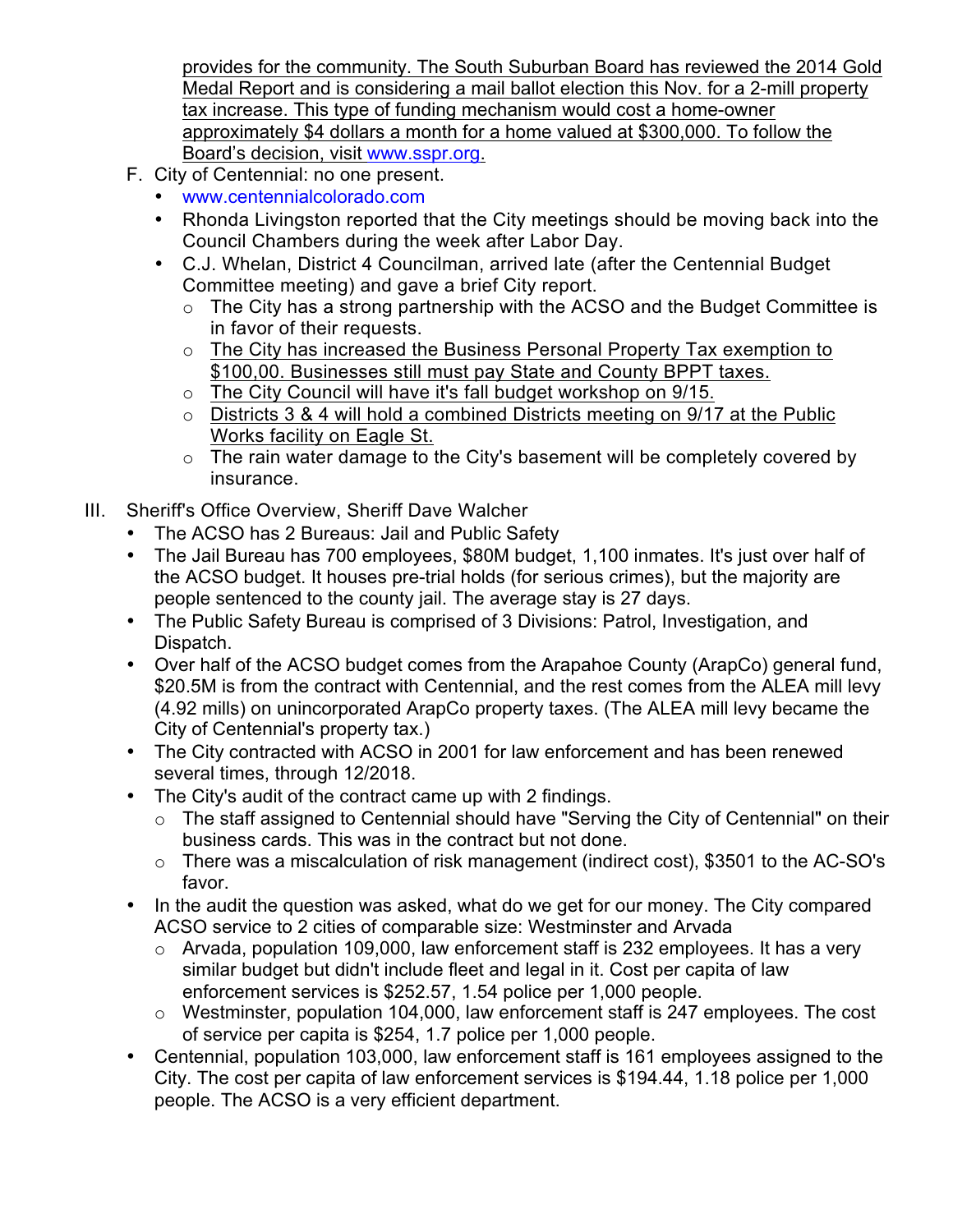provides for the community. The South Suburban Board has reviewed the 2014 Gold Medal Report and is considering a mail ballot election this Nov. for a 2-mill property tax increase. This type of funding mechanism would cost a home-owner approximately \$4 dollars a month for a home valued at \$300,000. To follow the Board's decision, visit www.sspr.org.

- F. City of Centennial: no one present.
	- www.centennialcolorado.com
	- Rhonda Livingston reported that the City meetings should be moving back into the Council Chambers during the week after Labor Day.
	- C.J. Whelan, District 4 Councilman, arrived late (after the Centennial Budget Committee meeting) and gave a brief City report.
		- $\circ$  The City has a strong partnership with the ACSO and the Budget Committee is in favor of their requests.
		- o The City has increased the Business Personal Property Tax exemption to \$100,00. Businesses still must pay State and County BPPT taxes.
		- o The City Council will have it's fall budget workshop on 9/15.
		- $\circ$  Districts 3 & 4 will hold a combined Districts meeting on 9/17 at the Public Works facility on Eagle St.
		- o The rain water damage to the City's basement will be completely covered by insurance.
- III. Sheriff's Office Overview, Sheriff Dave Walcher
	- The ACSO has 2 Bureaus: Jail and Public Safety
	- The Jail Bureau has 700 employees, \$80M budget, 1,100 inmates. It's just over half of the ACSO budget. It houses pre-trial holds (for serious crimes), but the majority are people sentenced to the county jail. The average stay is 27 days.
	- The Public Safety Bureau is comprised of 3 Divisions: Patrol, Investigation, and Dispatch.
	- Over half of the ACSO budget comes from the Arapahoe County (ArapCo) general fund, \$20.5M is from the contract with Centennial, and the rest comes from the ALEA mill levy (4.92 mills) on unincorporated ArapCo property taxes. (The ALEA mill levy became the City of Centennial's property tax.)
	- The City contracted with ACSO in 2001 for law enforcement and has been renewed several times, through 12/2018.
	- The City's audit of the contract came up with 2 findings.
		- o The staff assigned to Centennial should have "Serving the City of Centennial" on their business cards. This was in the contract but not done.
		- o There was a miscalculation of risk management (indirect cost), \$3501 to the AC-SO's favor.
	- In the audit the question was asked, what do we get for our money. The City compared ACSO service to 2 cities of comparable size: Westminster and Arvada
		- o Arvada, population 109,000, law enforcement staff is 232 employees. It has a very similar budget but didn't include fleet and legal in it. Cost per capita of law enforcement services is \$252.57, 1.54 police per 1,000 people.
		- o Westminster, population 104,000, law enforcement staff is 247 employees. The cost of service per capita is \$254, 1.7 police per 1,000 people.
	- Centennial, population 103,000, law enforcement staff is 161 employees assigned to the City. The cost per capita of law enforcement services is \$194.44, 1.18 police per 1,000 people. The ACSO is a very efficient department.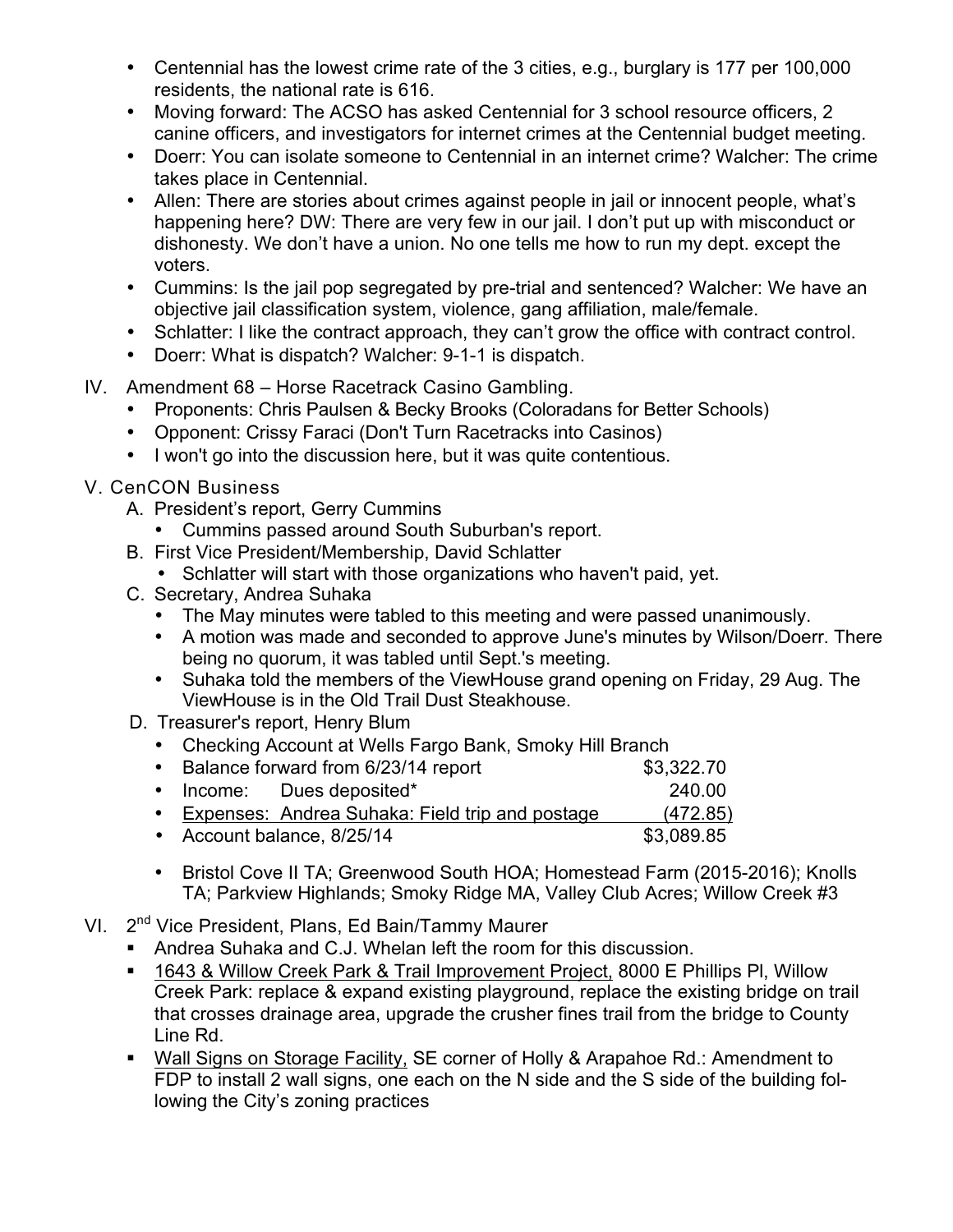- Centennial has the lowest crime rate of the 3 cities, e.g., burglary is 177 per 100,000 residents, the national rate is 616.
- Moving forward: The ACSO has asked Centennial for 3 school resource officers, 2 canine officers, and investigators for internet crimes at the Centennial budget meeting.
- Doerr: You can isolate someone to Centennial in an internet crime? Walcher: The crime takes place in Centennial.
- Allen: There are stories about crimes against people in jail or innocent people, what's happening here? DW: There are very few in our jail. I don't put up with misconduct or dishonesty. We don't have a union. No one tells me how to run my dept. except the voters.
- Cummins: Is the jail pop segregated by pre-trial and sentenced? Walcher: We have an objective jail classification system, violence, gang affiliation, male/female.
- Schlatter: I like the contract approach, they can't grow the office with contract control.
- Doerr: What is dispatch? Walcher: 9-1-1 is dispatch.
- IV. Amendment 68 Horse Racetrack Casino Gambling.
	- Proponents: Chris Paulsen & Becky Brooks (Coloradans for Better Schools)
	- Opponent: Crissy Faraci (Don't Turn Racetracks into Casinos)
	- I won't go into the discussion here, but it was quite contentious.
- V. CenCON Business
	- A. President's report, Gerry Cummins
		- Cummins passed around South Suburban's report.
	- B. First Vice President/Membership, David Schlatter
		- Schlatter will start with those organizations who haven't paid, yet.
	- C. Secretary, Andrea Suhaka
		- The May minutes were tabled to this meeting and were passed unanimously.
		- A motion was made and seconded to approve June's minutes by Wilson/Doerr. There being no quorum, it was tabled until Sept.'s meeting.
		- Suhaka told the members of the ViewHouse grand opening on Friday, 29 Aug. The ViewHouse is in the Old Trail Dust Steakhouse.
	- D. Treasurer's report, Henry Blum
		- Checking Account at Wells Fargo Bank, Smoky Hill Branch

| • Balance forward from 6/23/14 report |                                                   | \$3,322.70 |
|---------------------------------------|---------------------------------------------------|------------|
|                                       | • Income: Dues deposited*                         | 240.00     |
|                                       | • Expenses: Andrea Suhaka: Field trip and postage | (472.85)   |
| • Account balance, 8/25/14            |                                                   | \$3,089.85 |

- Bristol Cove II TA; Greenwood South HOA; Homestead Farm (2015-2016); Knolls TA; Parkview Highlands; Smoky Ridge MA, Valley Club Acres; Willow Creek #3
- VI. 2<sup>nd</sup> Vice President, Plans, Ed Bain/Tammy Maurer
	- ! Andrea Suhaka and C.J. Whelan left the room for this discussion.
	- ! 1643 & Willow Creek Park & Trail Improvement Project, 8000 E Phillips Pl, Willow Creek Park: replace & expand existing playground, replace the existing bridge on trail that crosses drainage area, upgrade the crusher fines trail from the bridge to County Line Rd.
	- ! Wall Signs on Storage Facility, SE corner of Holly & Arapahoe Rd.: Amendment to FDP to install 2 wall signs, one each on the N side and the S side of the building following the City's zoning practices